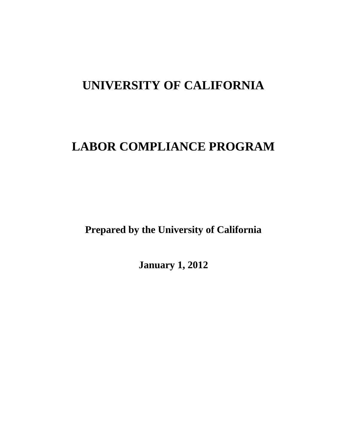# **UNIVERSITY OF CALIFORNIA**

# **LABOR COMPLIANCE PROGRAM**

**Prepared by the University of California** 

**January 1, 2012**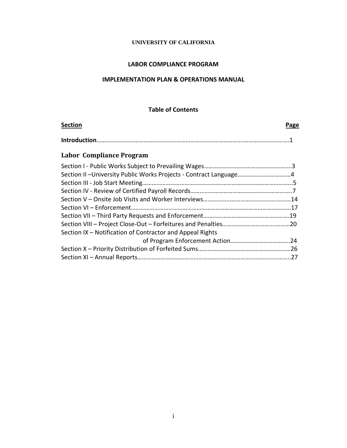#### **UNIVERSITY OF CALIFORNIA**

#### **LABOR COMPLIANCE PROGRAM**

## **IMPLEMENTATION PLAN & OPERATIONS MANUAL**

#### **Table of Contents**

| <b>Section</b> | Page |
|----------------|------|
|                |      |

# **Labor Compliance Program**

| Section II - University Public Works Projects - Contract Language4 |  |
|--------------------------------------------------------------------|--|
|                                                                    |  |
|                                                                    |  |
|                                                                    |  |
|                                                                    |  |
|                                                                    |  |
|                                                                    |  |
| Section IX - Notification of Contractor and Appeal Rights          |  |
|                                                                    |  |
|                                                                    |  |
|                                                                    |  |
|                                                                    |  |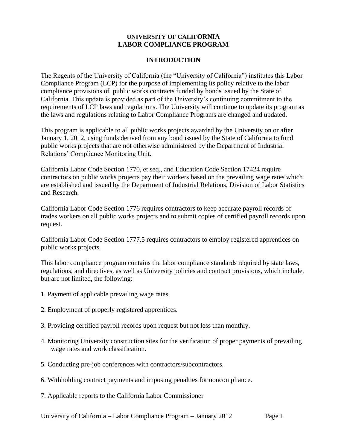#### **INTRODUCTION**

The Regents of the University of California (the "University of California") institutes this Labor Compliance Program (LCP) for the purpose of implementing its policy relative to the labor compliance provisions of public works contracts funded by bonds issued by the State of California. This update is provided as part of the University's continuing commitment to the requirements of LCP laws and regulations. The University will continue to update its program as the laws and regulations relating to Labor Compliance Programs are changed and updated.

This program is applicable to all public works projects awarded by the University on or after January 1, 2012, using funds derived from any bond issued by the State of California to fund public works projects that are not otherwise administered by the Department of Industrial Relations' Compliance Monitoring Unit.

California Labor Code Section 1770, et seq., and Education Code Section 17424 require contractors on public works projects pay their workers based on the prevailing wage rates which are established and issued by the Department of Industrial Relations, Division of Labor Statistics and Research.

California Labor Code Section 1776 requires contractors to keep accurate payroll records of trades workers on all public works projects and to submit copies of certified payroll records upon request.

California Labor Code Section 1777.5 requires contractors to employ registered apprentices on public works projects.

This labor compliance program contains the labor compliance standards required by state laws, regulations, and directives, as well as University policies and contract provisions, which include, but are not limited, the following:

- 1. Payment of applicable prevailing wage rates.
- 2. Employment of properly registered apprentices.
- 3. Providing certified payroll records upon request but not less than monthly.
- 4. Monitoring University construction sites for the verification of proper payments of prevailing wage rates and work classification.
- 5. Conducting pre-job conferences with contractors/subcontractors.
- 6. Withholding contract payments and imposing penalties for noncompliance.
- 7. Applicable reports to the California Labor Commissioner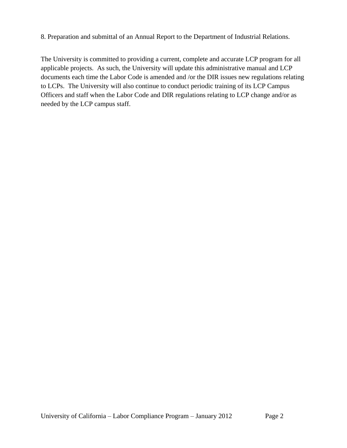8. Preparation and submittal of an Annual Report to the Department of Industrial Relations.

The University is committed to providing a current, complete and accurate LCP program for all applicable projects. As such, the University will update this administrative manual and LCP documents each time the Labor Code is amended and /or the DIR issues new regulations relating to LCPs. The University will also continue to conduct periodic training of its LCP Campus Officers and staff when the Labor Code and DIR regulations relating to LCP change and/or as needed by the LCP campus staff.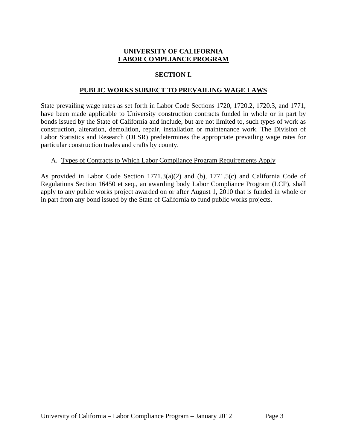# **SECTION I.**

## **PUBLIC WORKS SUBJECT TO PREVAILING WAGE LAWS**

State prevailing wage rates as set forth in Labor Code Sections 1720, 1720.2, 1720.3, and 1771, have been made applicable to University construction contracts funded in whole or in part by bonds issued by the State of California and include, but are not limited to, such types of work as construction, alteration, demolition, repair, installation or maintenance work. The Division of Labor Statistics and Research (DLSR) predetermines the appropriate prevailing wage rates for particular construction trades and crafts by county.

#### A. Types of Contracts to Which Labor Compliance Program Requirements Apply

As provided in Labor Code Section  $1771.3(a)(2)$  and (b),  $1771.5(c)$  and California Code of Regulations Section 16450 et seq., an awarding body Labor Compliance Program (LCP), shall apply to any public works project awarded on or after August 1, 2010 that is funded in whole or in part from any bond issued by the State of California to fund public works projects.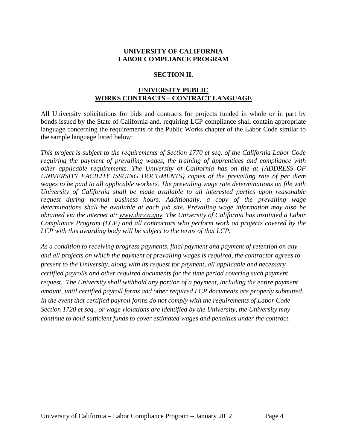## **SECTION II.**

# **UNIVERSITY PUBLIC WORKS CONTRACTS – CONTRACT LANGUAGE**

All University solicitations for bids and contracts for projects funded in whole or in part by bonds issued by the State of California and. requiring LCP compliance shall contain appropriate language concerning the requirements of the Public Works chapter of the Labor Code similar to the sample language listed below:

*This project is subject to the requirements of Section 1770 et seq. of the California Labor Code requiring the payment of prevailing wages, the training of apprentices and compliance with other applicable requirements. The University of California has on file at {ADDRESS OF UNIVERSITY FACILITY ISSUING DOCUMENTS} copies of the prevailing rate of per diem wages to be paid to all applicable workers. The prevailing wage rate determinations on file with University of California shall be made available to all interested parties upon reasonable request during normal business hours. Additionally, a copy of the prevailing wage determinations shall be available at each job site. Prevailing wage information may also be obtained via the internet at: www.dir.ca.gov. The University of California has instituted a Labor Compliance Program (LCP) and all contractors who perform work on projects covered by the LCP with this awarding body will be subject to the terms of that LCP.*

*As a condition to receiving progress payments, final payment and payment of retention on any and all projects on which the payment of prevailing wages is required, the contractor agrees to present to the University, along with its request for payment, all applicable and necessary certified payrolls and other required documents for the time period covering such payment request. The University shall withhold any portion of a payment, including the entire payment amount, until certified payroll forms and other required LCP documents are properly submitted. In the event that certified payroll forms do not comply with the requirements of Labor Code Section 1720 et seq., or wage violations are identified by the University, the University may continue to hold sufficient funds to cover estimated wages and penalties under the contract.*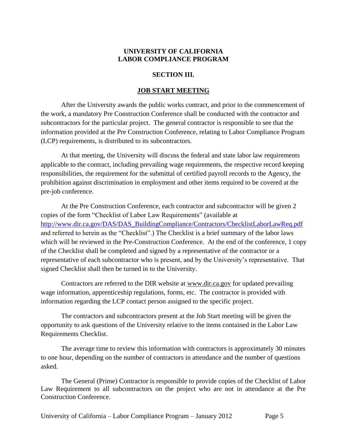#### **SECTION III.**

#### **JOB START MEETING**

After the University awards the public works contract, and prior to the commencement of the work, a mandatory Pre Construction Conference shall be conducted with the contractor and subcontractors for the particular project. The general contractor is responsible to see that the information provided at the Pre Construction Conference, relating to Labor Compliance Program (LCP) requirements, is distributed to its subcontractors.

At that meeting, the University will discuss the federal and state labor law requirements applicable to the contract, including prevailing wage requirements, the respective record keeping responsibilities, the requirement for the submittal of certified payroll records to the Agency, the prohibition against discrimination in employment and other items required to be covered at the pre-job conference.

At the Pre Construction Conference, each contractor and subcontractor will be given 2 copies of the form "Checklist of Labor Law Requirements" (available at [http://www.dir.ca.gov/DAS/DAS\\_BuildingCompliance/Contractors/ChecklistLaborLawReq.pdf](http://www.dir.ca.gov/DAS/DAS_BuildingCompliance/Contractors/ChecklistLaborLawReq.pdf) and referred to herein as the "Checklist".) The Checklist is a brief summary of the labor laws which will be reviewed in the Pre-Construction Conference. At the end of the conference, 1 copy of the Checklist shall be completed and signed by a representative of the contractor or a representative of each subcontractor who is present, and by the University's representative. That signed Checklist shall then be turned in to the University.

Contractors are referred to the DIR website at [www.dir.ca.gov](http://www.dir.ca.gov/) for updated prevailing wage information, apprenticeship regulations, forms, etc. The contractor is provided with information regarding the LCP contact person assigned to the specific project.

The contractors and subcontractors present at the Job Start meeting will be given the opportunity to ask questions of the University relative to the items contained in the Labor Law Requirements Checklist.

The average time to review this information with contractors is approximately 30 minutes to one hour, depending on the number of contractors in attendance and the number of questions asked.

The General (Prime) Contractor is responsible to provide copies of the Checklist of Labor Law Requirement to all subcontractors on the project who are not in attendance at the Pre Construction Conference.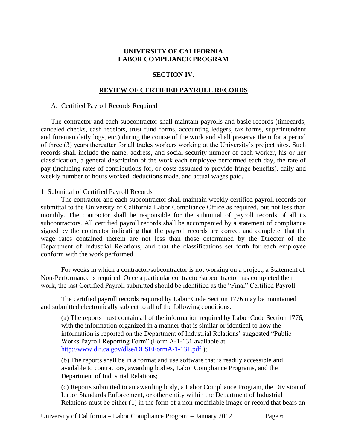# **SECTION IV.**

#### **REVIEW OF CERTIFIED PAYROLL RECORDS**

#### A. Certified Payroll Records Required

The contractor and each subcontractor shall maintain payrolls and basic records (timecards, canceled checks, cash receipts, trust fund forms, accounting ledgers, tax forms, superintendent and foreman daily logs, etc.) during the course of the work and shall preserve them for a period of three (3) years thereafter for all trades workers working at the University's project sites. Such records shall include the name, address, and social security number of each worker, his or her classification, a general description of the work each employee performed each day, the rate of pay (including rates of contributions for, or costs assumed to provide fringe benefits), daily and weekly number of hours worked, deductions made, and actual wages paid.

#### 1. Submittal of Certified Payroll Records

The contractor and each subcontractor shall maintain weekly certified payroll records for submittal to the University of California Labor Compliance Office as required, but not less than monthly. The contractor shall be responsible for the submittal of payroll records of all its subcontractors. All certified payroll records shall be accompanied by a statement of compliance signed by the contractor indicating that the payroll records are correct and complete, that the wage rates contained therein are not less than those determined by the Director of the Department of Industrial Relations, and that the classifications set forth for each employee conform with the work performed.

For weeks in which a contractor/subcontractor is not working on a project, a Statement of Non-Performance is required. Once a particular contractor/subcontractor has completed their work, the last Certified Payroll submitted should be identified as the "Final" Certified Payroll.

The certified payroll records required by Labor Code Section 1776 may be maintained and submitted electronically subject to all of the following conditions:

(a) The reports must contain all of the information required by Labor Code Section 1776, with the information organized in a manner that is similar or identical to how the information is reported on the Department of Industrial Relations' suggested "Public Works Payroll Reporting Form" (Form A-1-131 available at <http://www.dir.ca.gov/dlse/DLSEFormA-1-131.pdf> );

(b) The reports shall be in a format and use software that is readily accessible and available to contractors, awarding bodies, Labor Compliance Programs, and the Department of Industrial Relations;

(c) Reports submitted to an awarding body, a Labor Compliance Program, the Division of Labor Standards Enforcement, or other entity within the Department of Industrial Relations must be either (1) in the form of a non-modifiable image or record that bears an

University of California – Labor Compliance Program – January 2012 Page 6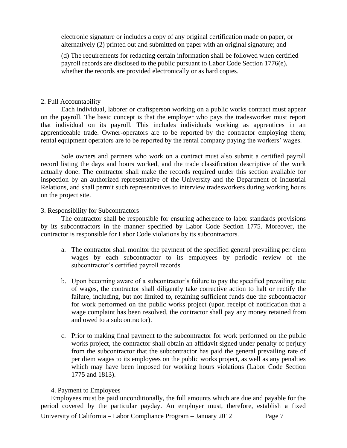electronic signature or includes a copy of any original certification made on paper, or alternatively (2) printed out and submitted on paper with an original signature; and

(d) The requirements for redacting certain information shall be followed when certified payroll records are disclosed to the public pursuant to Labor Code Section 1776(e), whether the records are provided electronically or as hard copies.

#### 2. Full Accountability

Each individual, laborer or craftsperson working on a public works contract must appear on the payroll. The basic concept is that the employer who pays the tradesworker must report that individual on its payroll. This includes individuals working as apprentices in an apprenticeable trade. Owner-operators are to be reported by the contractor employing them; rental equipment operators are to be reported by the rental company paying the workers' wages.

Sole owners and partners who work on a contract must also submit a certified payroll record listing the days and hours worked, and the trade classification descriptive of the work actually done. The contractor shall make the records required under this section available for inspection by an authorized representative of the University and the Department of Industrial Relations, and shall permit such representatives to interview tradesworkers during working hours on the project site.

#### 3. Responsibility for Subcontractors

The contractor shall be responsible for ensuring adherence to labor standards provisions by its subcontractors in the manner specified by Labor Code Section 1775. Moreover, the contractor is responsible for Labor Code violations by its subcontractors.

- a. The contractor shall monitor the payment of the specified general prevailing per diem wages by each subcontractor to its employees by periodic review of the subcontractor's certified payroll records.
- b. Upon becoming aware of a subcontractor's failure to pay the specified prevailing rate of wages, the contractor shall diligently take corrective action to halt or rectify the failure, including, but not limited to, retaining sufficient funds due the subcontractor for work performed on the public works project (upon receipt of notification that a wage complaint has been resolved, the contractor shall pay any money retained from and owed to a subcontractor).
- c. Prior to making final payment to the subcontractor for work performed on the public works project, the contractor shall obtain an affidavit signed under penalty of perjury from the subcontractor that the subcontractor has paid the general prevailing rate of per diem wages to its employees on the public works project, as well as any penalties which may have been imposed for working hours violations (Labor Code Section 1775 and 1813).

#### 4. Payment to Employees

University of California – Labor Compliance Program – January 2012 Page 7 Employees must be paid unconditionally, the full amounts which are due and payable for the period covered by the particular payday. An employer must, therefore, establish a fixed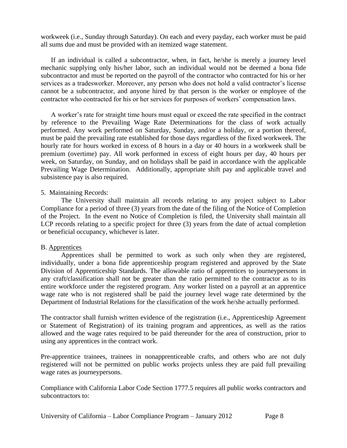workweek (i.e., Sunday through Saturday). On each and every payday, each worker must be paid all sums due and must be provided with an itemized wage statement.

If an individual is called a subcontractor, when, in fact, he/she is merely a journey level mechanic supplying only his/her labor, such an individual would not be deemed a bona fide subcontractor and must be reported on the payroll of the contractor who contracted for his or her services as a tradesworker. Moreover, any person who does not hold a valid contractor's license cannot be a subcontractor, and anyone hired by that person is the worker or employee of the contractor who contracted for his or her services for purposes of workers' compensation laws.

A worker's rate for straight time hours must equal or exceed the rate specified in the contract by reference to the Prevailing Wage Rate Determinations for the class of work actually performed. Any work performed on Saturday, Sunday, and/or a holiday, or a portion thereof, must be paid the prevailing rate established for those days regardless of the fixed workweek. The hourly rate for hours worked in excess of 8 hours in a day or 40 hours in a workweek shall be premium (overtime) pay. All work performed in excess of eight hours per day, 40 hours per week, on Saturday, on Sunday, and on holidays shall be paid in accordance with the applicable Prevailing Wage Determination. Additionally, appropriate shift pay and applicable travel and subsistence pay is also required.

## 5. Maintaining Records:

The University shall maintain all records relating to any project subject to Labor Compliance for a period of three (3) years from the date of the filing of the Notice of Completion of the Project. In the event no Notice of Completion is filed, the University shall maintain all LCP records relating to a specific project for three (3) years from the date of actual completion or beneficial occupancy, whichever is later.

#### B. Apprentices

Apprentices shall be permitted to work as such only when they are registered, individually, under a bona fide apprenticeship program registered and approved by the State Division of Apprenticeship Standards. The allowable ratio of apprentices to journeypersons in any craft/classification shall not be greater than the ratio permitted to the contractor as to its entire workforce under the registered program. Any worker listed on a payroll at an apprentice wage rate who is not registered shall be paid the journey level wage rate determined by the Department of Industrial Relations for the classification of the work he/she actually performed.

The contractor shall furnish written evidence of the registration (i.e., Apprenticeship Agreement or Statement of Registration) of its training program and apprentices, as well as the ratios allowed and the wage rates required to be paid thereunder for the area of construction, prior to using any apprentices in the contract work.

Pre-apprentice trainees, trainees in nonapprenticeable crafts, and others who are not duly registered will not be permitted on public works projects unless they are paid full prevailing wage rates as journeypersons.

Compliance with California Labor Code Section 1777.5 requires all public works contractors and subcontractors to: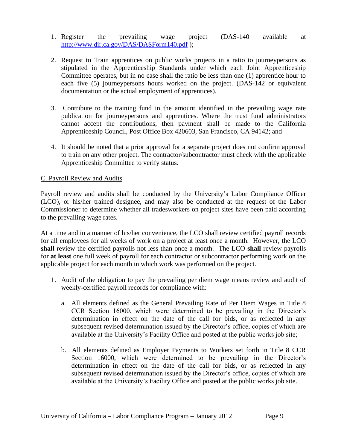- 1. Register the prevailing wage project (DAS-140 available at <http://www.dir.ca.gov/DAS/DASForm140.pdf> );
- 2. Request to Train apprentices on public works projects in a ratio to journeypersons as stipulated in the Apprenticeship Standards under which each Joint Apprenticeship Committee operates, but in no case shall the ratio be less than one (1) apprentice hour to each five (5) journeypersons hours worked on the project. (DAS-142 or equivalent documentation or the actual employment of apprentices).
- 3. Contribute to the training fund in the amount identified in the prevailing wage rate publication for journeypersons and apprentices. Where the trust fund administrators cannot accept the contributions, then payment shall be made to the California Apprenticeship Council, Post Office Box 420603, San Francisco, CA 94142; and
- 4. It should be noted that a prior approval for a separate project does not confirm approval to train on any other project. The contractor/subcontractor must check with the applicable Apprenticeship Committee to verify status.

#### C. Payroll Review and Audits

Payroll review and audits shall be conducted by the University's Labor Compliance Officer (LCO), or his/her trained designee, and may also be conducted at the request of the Labor Commissioner to determine whether all tradesworkers on project sites have been paid according to the prevailing wage rates.

At a time and in a manner of his/her convenience, the LCO shall review certified payroll records for all employees for all weeks of work on a project at least once a month. However, the LCO **shall** review the certified payrolls not less than once a month. The LCO **shall** review payrolls for **at least** one full week of payroll for each contractor or subcontractor performing work on the applicable project for each month in which work was performed on the project.

- 1. Audit of the obligation to pay the prevailing per diem wage means review and audit of weekly-certified payroll records for compliance with:
	- a. All elements defined as the General Prevailing Rate of Per Diem Wages in Title 8 CCR Section 16000, which were determined to be prevailing in the Director's determination in effect on the date of the call for bids, or as reflected in any subsequent revised determination issued by the Director's office, copies of which are available at the University's Facility Office and posted at the public works job site;
	- b. All elements defined as Employer Payments to Workers set forth in Title 8 CCR Section 16000, which were determined to be prevailing in the Director's determination in effect on the date of the call for bids, or as reflected in any subsequent revised determination issued by the Director's office, copies of which are available at the University's Facility Office and posted at the public works job site.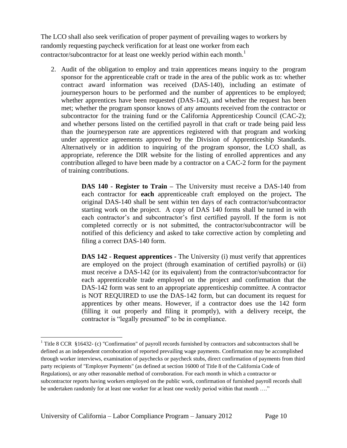The LCO shall also seek verification of proper payment of prevailing wages to workers by randomly requesting paycheck verification for at least one worker from each contractor/subcontractor for at least one weekly period within each month.<sup>1</sup>

2. Audit of the obligation to employ and train apprentices means inquiry to the program sponsor for the apprenticeable craft or trade in the area of the public work as to: whether contract award information was received (DAS-140), including an estimate of journeyperson hours to be performed and the number of apprentices to be employed; whether apprentices have been requested (DAS-142), and whether the request has been met; whether the program sponsor knows of any amounts received from the contractor or subcontractor for the training fund or the California Apprenticeship Council (CAC-2); and whether persons listed on the certified payroll in that craft or trade being paid less than the journeyperson rate are apprentices registered with that program and working under apprentice agreements approved by the Division of Apprenticeship Standards. Alternatively or in addition to inquiring of the program sponsor, the LCO shall, as appropriate, reference the DIR website for the listing of enrolled apprentices and any contribution alleged to have been made by a contractor on a CAC-2 form for the payment of training contributions.

> **DAS 140 - Register to Train –** The University must receive a DAS-140 from each contractor for **each** apprenticeable craft employed on the project**.** The original DAS-140 shall be sent within ten days of each contractor/subcontractor starting work on the project. A copy of DAS 140 forms shall be turned in with each contractor's and subcontractor's first certified payroll. If the form is not completed correctly or is not submitted, the contractor/subcontractor will be notified of this deficiency and asked to take corrective action by completing and filing a correct DAS-140 form.

> **DAS 142 - Request apprentices -** The University (i) must verify that apprentices are employed on the project (through examination of certified payrolls) or (ii) must receive a DAS-142 (or its equivalent) from the contractor/subcontractor for each apprenticeable trade employed on the project and confirmation that the DAS-142 form was sent to an appropriate apprenticeship committee. A contractor is NOT REQUIRED to use the DAS-142 form, but can document its request for apprentices by other means. However, if a contractor does use the 142 form (filling it out properly and filing it promptly), with a delivery receipt, the contractor is "legally presumed" to be in compliance.

l

<sup>&</sup>lt;sup>1</sup> Title 8 CCR  $§16432-$  (c) "Confirmation" of payroll records furnished by contractors and subcontractors shall be defined as an independent corroboration of reported prevailing wage payments. Confirmation may be accomplished through worker interviews, examination of paychecks or paycheck stubs, direct confirmation of payments from third party recipients of "Employer Payments" (as defined at section 16000 of Title 8 of the California Code of Regulations), or any other reasonable method of corroboration. For each month in which a contractor or subcontractor reports having workers employed on the public work, confirmation of furnished payroll records shall be undertaken randomly for at least one worker for at least one weekly period within that month ...."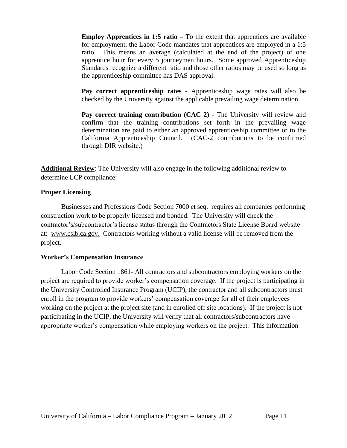**Employ Apprentices in 1:5 ratio** – To the extent that apprentices are available for employment, the Labor Code mandates that apprentices are employed in a 1:5 ratio. This means an average (calculated at the end of the project) of one apprentice hour for every 5 journeymen hours. Some approved Apprenticeship Standards recognize a different ratio and those other ratios may be used so long as the apprenticeship committee has DAS approval.

**Pay correct apprenticeship rates -** Apprenticeship wage rates will also be checked by the University against the applicable prevailing wage determination.

**Pay correct training contribution (CAC 2) - The University will review and** confirm that the training contributions set forth in the prevailing wage determination are paid to either an approved apprenticeship committee or to the California Apprenticeship Council. (CAC-2 contributions to be confirmed through DIR website.)

**Additional Review**: The University will also engage in the following additional review to determine LCP compliance:

## **Proper Licensing**

Businesses and Professions Code Section 7000 et seq. requires all companies performing construction work to be properly licensed and bonded. The University will check the contractor's/subcontractor's license status through the Contractors State License Board website at: [www.cslb.ca.gov.](http://www.cslb.ca.gov/) Contractors working without a valid license will be removed from the project.

# **Worker's Compensation Insurance**

Labor Code Section 1861- All contractors and subcontractors employing workers on the project are required to provide worker's compensation coverage. If the project is participating in the University Controlled Insurance Program (UCIP), the contractor and all subcontractors must enroll in the program to provide workers' compensation coverage for all of their employees working on the project at the project site (and in enrolled off site locations). If the project is not participating in the UCIP, the University will verify that all contractors/subcontractors have appropriate worker's compensation while employing workers on the project. This information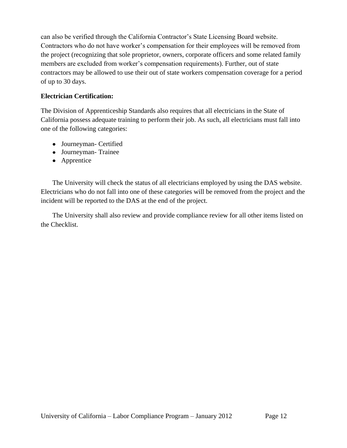can also be verified through the California Contractor's State Licensing Board website. Contractors who do not have worker's compensation for their employees will be removed from the project (recognizing that sole proprietor, owners, corporate officers and some related family members are excluded from worker's compensation requirements). Further, out of state contractors may be allowed to use their out of state workers compensation coverage for a period of up to 30 days.

# **Electrician Certification:**

The Division of Apprenticeship Standards also requires that all electricians in the State of California possess adequate training to perform their job. As such, all electricians must fall into one of the following categories:

- Journeyman- Certified
- Journeyman- Trainee
- Apprentice

The University will check the status of all electricians employed by using the DAS website. Electricians who do not fall into one of these categories will be removed from the project and the incident will be reported to the DAS at the end of the project.

The University shall also review and provide compliance review for all other items listed on the Checklist.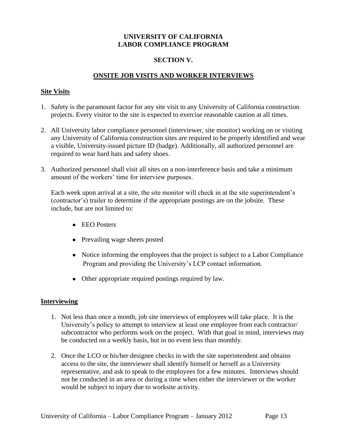## **SECTION V.**

## **ONSITE JOB VISITS AND WORKER INTERVIEWS**

#### **Site Visits**

- 1. Safety is the paramount factor for any site visit to any University of California construction projects. Every visitor to the site is expected to exercise reasonable caution at all times.
- 2. All University labor compliance personnel (interviewer, site monitor) working on or visiting any University of California construction sites are required to be properly identified and wear a visible, University-issued picture ID (badge). Additionally, all authorized personnel are required to wear hard hats and safety shoes.
- 3. Authorized personnel shall visit all sites on a non-interference basis and take a minimum amount of the workers' time for interview purposes.

Each week upon arrival at a site, the site monitor will check in at the site superintendent's (contractor's) trailer to determine if the appropriate postings are on the jobsite. These include, but are not limited to:

- EEO Posters
- Prevailing wage sheets posted
- Notice informing the employees that the project is subject to a Labor Compliance Program and providing the University's LCP contact information.
- Other appropriate required postings required by law.

#### **Interviewing**

- 1. Not less than once a month, job site interviews of employees will take place. It is the University's policy to attempt to interview at least one employee from each contractor/ subcontractor who performs work on the project. With that goal in mind, interviews may be conducted on a weekly basis, but in no event less than monthly.
- 2. Once the LCO or his/her designee checks in with the site superintendent and obtains access to the site, the interviewer shall identify himself or herself as a University representative, and ask to speak to the employees for a few minutes. Interviews should not be conducted in an area or during a time when either the interviewer or the worker would be subject to injury due to worksite activity.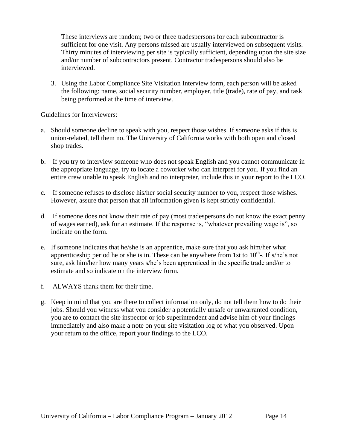These interviews are random; two or three tradespersons for each subcontractor is sufficient for one visit. Any persons missed are usually interviewed on subsequent visits. Thirty minutes of interviewing per site is typically sufficient, depending upon the site size and/or number of subcontractors present. Contractor tradespersons should also be interviewed.

3. Using the Labor Compliance Site Visitation Interview form, each person will be asked the following: name, social security number, employer, title (trade), rate of pay, and task being performed at the time of interview.

Guidelines for Interviewers:

- a. Should someone decline to speak with you, respect those wishes. If someone asks if this is union-related, tell them no. The University of California works with both open and closed shop trades.
- b. If you try to interview someone who does not speak English and you cannot communicate in the appropriate language, try to locate a coworker who can interpret for you. If you find an entire crew unable to speak English and no interpreter, include this in your report to the LCO.
- c. If someone refuses to disclose his/her social security number to you, respect those wishes. However, assure that person that all information given is kept strictly confidential.
- d. If someone does not know their rate of pay (most tradespersons do not know the exact penny of wages earned), ask for an estimate. If the response is, "whatever prevailing wage is", so indicate on the form.
- e. If someone indicates that he/she is an apprentice, make sure that you ask him/her what apprenticeship period he or she is in. These can be anywhere from 1st to  $10^{th}$ . If s/he's not sure, ask him/her how many years s/he's been apprenticed in the specific trade and/or to estimate and so indicate on the interview form.
- f. ALWAYS thank them for their time.
- g. Keep in mind that you are there to collect information only, do not tell them how to do their jobs. Should you witness what you consider a potentially unsafe or unwarranted condition, you are to contact the site inspector or job superintendent and advise him of your findings immediately and also make a note on your site visitation log of what you observed. Upon your return to the office, report your findings to the LCO.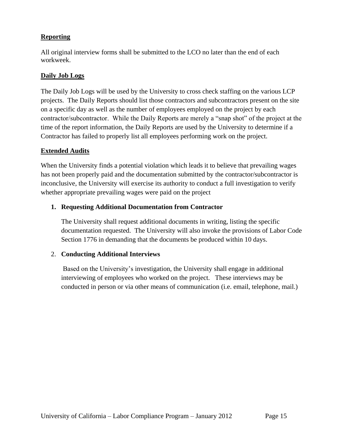# **Reporting**

All original interview forms shall be submitted to the LCO no later than the end of each workweek.

## **Daily Job Logs**

The Daily Job Logs will be used by the University to cross check staffing on the various LCP projects. The Daily Reports should list those contractors and subcontractors present on the site on a specific day as well as the number of employees employed on the project by each contractor/subcontractor. While the Daily Reports are merely a "snap shot" of the project at the time of the report information, the Daily Reports are used by the University to determine if a Contractor has failed to properly list all employees performing work on the project.

# **Extended Audits**

When the University finds a potential violation which leads it to believe that prevailing wages has not been properly paid and the documentation submitted by the contractor/subcontractor is inconclusive, the University will exercise its authority to conduct a full investigation to verify whether appropriate prevailing wages were paid on the project

# **1. Requesting Additional Documentation from Contractor**

The University shall request additional documents in writing, listing the specific documentation requested. The University will also invoke the provisions of Labor Code Section 1776 in demanding that the documents be produced within 10 days.

# 2. **Conducting Additional Interviews**

Based on the University's investigation, the University shall engage in additional interviewing of employees who worked on the project. These interviews may be conducted in person or via other means of communication (i.e. email, telephone, mail.)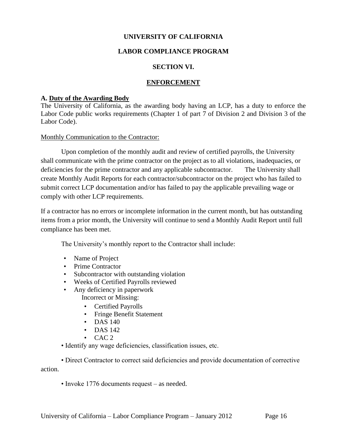## **UNIVERSITY OF CALIFORNIA**

## **LABOR COMPLIANCE PROGRAM**

#### **SECTION VI.**

## **ENFORCEMENT**

#### **A. Duty of the Awarding Body**

The University of California, as the awarding body having an LCP, has a duty to enforce the Labor Code public works requirements (Chapter 1 of part 7 of Division 2 and Division 3 of the Labor Code).

#### Monthly Communication to the Contractor:

Upon completion of the monthly audit and review of certified payrolls, the University shall communicate with the prime contractor on the project as to all violations, inadequacies, or deficiencies for the prime contractor and any applicable subcontractor. The University shall create Monthly Audit Reports for each contractor/subcontractor on the project who has failed to submit correct LCP documentation and/or has failed to pay the applicable prevailing wage or comply with other LCP requirements.

If a contractor has no errors or incomplete information in the current month, but has outstanding items from a prior month, the University will continue to send a Monthly Audit Report until full compliance has been met.

The University's monthly report to the Contractor shall include:

- Name of Project
- Prime Contractor
- Subcontractor with outstanding violation
- Weeks of Certified Payrolls reviewed
- Any deficiency in paperwork Incorrect or Missing:
	- Certified Payrolls
	- Fringe Benefit Statement
	- DAS 140
	- DAS 142
	- $\cdot$  CAC 2

• Identify any wage deficiencies, classification issues, etc.

• Direct Contractor to correct said deficiencies and provide documentation of corrective action.

• Invoke 1776 documents request – as needed.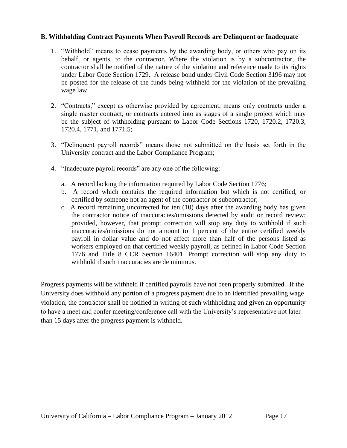## **B. Withholding Contract Payments When Payroll Records are Delinquent or Inadequate**

- 1. "Withhold" means to cease payments by the awarding body, or others who pay on its behalf, or agents, to the contractor. Where the violation is by a subcontractor, the contractor shall be notified of the nature of the violation and reference made to its rights under Labor Code Section 1729. A release bond under Civil Code Section 3196 may not be posted for the release of the funds being withheld for the violation of the prevailing wage law.
- 2. "Contracts," except as otherwise provided by agreement, means only contracts under a single master contract, or contracts entered into as stages of a single project which may be the subject of withholding pursuant to Labor Code Sections 1720, 1720.2, 1720.3, 1720.4, 1771, and 1771.5;
- 3. "Delinquent payroll records" means those not submitted on the basis set forth in the University contract and the Labor Compliance Program;
- 4. "Inadequate payroll records" are any one of the following:
	- a. A record lacking the information required by Labor Code Section 1776;
	- b. A record which contains the required information but which is not certified, or certified by someone not an agent of the contractor or subcontractor;
	- c. A record remaining uncorrected for ten (10) days after the awarding body has given the contractor notice of inaccuracies/omissions detected by audit or record review; provided, however, that prompt correction will stop any duty to withhold if such inaccuracies/omissions do not amount to 1 percent of the entire certified weekly payroll in dollar value and do not affect more than half of the persons listed as workers employed on that certified weekly payroll, as defined in Labor Code Section 1776 and Title 8 CCR Section 16401. Prompt correction will stop any duty to withhold if such inaccuracies are de minimus.

Progress payments will be withheld if certified payrolls have not been properly submitted. If the University does withhold any portion of a progress payment due to an identified prevailing wage violation, the contractor shall be notified in writing of such withholding and given an opportunity to have a meet and confer meeting/conference call with the University's representative not later than 15 days after the progress payment is withheld.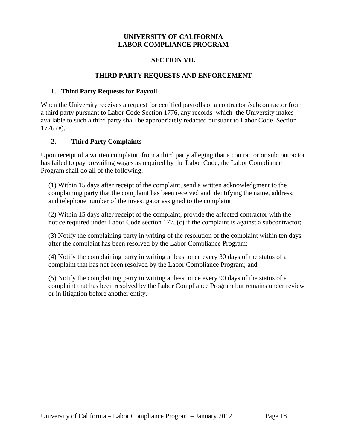## **SECTION VII.**

## **THIRD PARTY REQUESTS AND ENFORCEMENT**

## **1. Third Party Requests for Payroll**

When the University receives a request for certified payrolls of a contractor /subcontractor from a third party pursuant to Labor Code Section 1776, any records which the University makes available to such a third party shall be appropriately redacted pursuant to Labor Code Section 1776 (e).

# **2. Third Party Complaints**

Upon receipt of a written complaint from a third party alleging that a contractor or subcontractor has failed to pay prevailing wages as required by the Labor Code, the Labor Compliance Program shall do all of the following:

(1) Within 15 days after receipt of the complaint, send a written acknowledgment to the complaining party that the complaint has been received and identifying the name, address, and telephone number of the investigator assigned to the complaint;

(2) Within 15 days after receipt of the complaint, provide the affected contractor with the notice required under Labor Code section 1775(c) if the complaint is against a subcontractor;

(3) Notify the complaining party in writing of the resolution of the complaint within ten days after the complaint has been resolved by the Labor Compliance Program;

(4) Notify the complaining party in writing at least once every 30 days of the status of a complaint that has not been resolved by the Labor Compliance Program; and

(5) Notify the complaining party in writing at least once every 90 days of the status of a complaint that has been resolved by the Labor Compliance Program but remains under review or in litigation before another entity.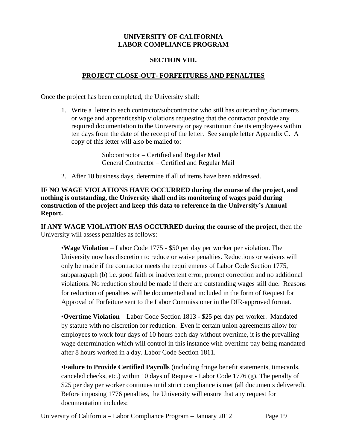## **SECTION VIII.**

# **PROJECT CLOSE-OUT- FORFEITURES AND PENALTIES**

Once the project has been completed, the University shall:

1. Write a letter to each contractor/subcontractor who still has outstanding documents or wage and apprenticeship violations requesting that the contractor provide any required documentation to the University or pay restitution due its employees within ten days from the date of the receipt of the letter. See sample letter Appendix C. A copy of this letter will also be mailed to:

> Subcontractor – Certified and Regular Mail General Contractor – Certified and Regular Mail

2. After 10 business days, determine if all of items have been addressed.

**IF NO WAGE VIOLATIONS HAVE OCCURRED during the course of the project, and nothing is outstanding, the University shall end its monitoring of wages paid during construction of the project and keep this data to reference in the University's Annual Report.**

**If ANY WAGE VIOLATION HAS OCCURRED during the course of the project**, then the University will assess penalties as follows:

•**Wage Violation** – Labor Code 1775 - \$50 per day per worker per violation. The University now has discretion to reduce or waive penalties. Reductions or waivers will only be made if the contractor meets the requirements of Labor Code Section 1775, subparagraph (b) i.e. good faith or inadvertent error, prompt correction and no additional violations. No reduction should be made if there are outstanding wages still due. Reasons for reduction of penalties will be documented and included in the form of Request for Approval of Forfeiture sent to the Labor Commissioner in the DIR-approved format.

•**Overtime Violation** – Labor Code Section 1813 - \$25 per day per worker. Mandated by statute with no discretion for reduction. Even if certain union agreements allow for employees to work four days of 10 hours each day without overtime, it is the prevailing wage determination which will control in this instance with overtime pay being mandated after 8 hours worked in a day. Labor Code Section 1811.

•**Failure to Provide Certified Payrolls** (including fringe benefit statements, timecards, canceled checks, etc.) within 10 days of Request - Labor Code 1776 (g). The penalty of \$25 per day per worker continues until strict compliance is met (all documents delivered). Before imposing 1776 penalties, the University will ensure that any request for documentation includes: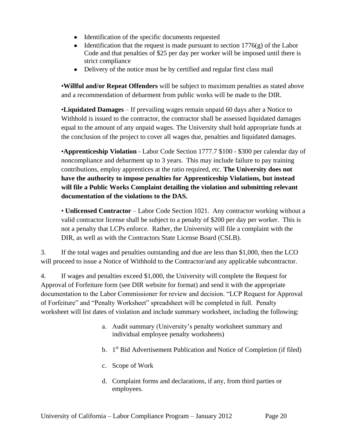- Identification of the specific documents requested
- Identification that the request is made pursuant to section  $1776(g)$  of the Labor Code and that penalties of \$25 per day per worker will be imposed until there is strict compliance
- Delivery of the notice must be by certified and regular first class mail

•**Willful and/or Repeat Offenders** will be subject to maximum penalties as stated above and a recommendation of debarment from public works will be made to the DIR.

•**Liquidated Damages** – If prevailing wages remain unpaid 60 days after a Notice to Withhold is issued to the contractor, the contractor shall be assessed liquidated damages equal to the amount of any unpaid wages. The University shall hold appropriate funds at the conclusion of the project to cover all wages due, penalties and liquidated damages.

•**Apprenticeship Violation** - Labor Code Section 1777.7 \$100 - \$300 per calendar day of noncompliance and debarment up to 3 years. This may include failure to pay training contributions, employ apprentices at the ratio required, etc. **The University does not have the authority to impose penalties for Apprenticeship Violations, but instead will file a Public Works Complaint detailing the violation and submitting relevant documentation of the violations to the DAS.**

• **Unlicensed Contractor** – Labor Code Section 1021. Any contractor working without a valid contractor license shall be subject to a penalty of \$200 per day per worker. This is not a penalty that LCPs enforce. Rather, the University will file a complaint with the DIR, as well as with the Contractors State License Board (CSLB).

3. If the total wages and penalties outstanding and due are less than \$1,000, then the LCO will proceed to issue a Notice of Withhold to the Contractor/and any applicable subcontractor.

4. If wages and penalties exceed \$1,000, the University will complete the Request for Approval of Forfeiture form (see DIR website for format) and send it with the appropriate documentation to the Labor Commissioner for review and decision. "LCP Request for Approval of Forfeiture" and "Penalty Worksheet" spreadsheet will be completed in full. Penalty worksheet will list dates of violation and include summary worksheet, including the following:

- a. Audit summary (University's penalty worksheet summary and individual employee penalty worksheets)
- b. 1<sup>st</sup> Bid Advertisement Publication and Notice of Completion (if filed)
- c. Scope of Work
- d. Complaint forms and declarations, if any, from third parties or employees.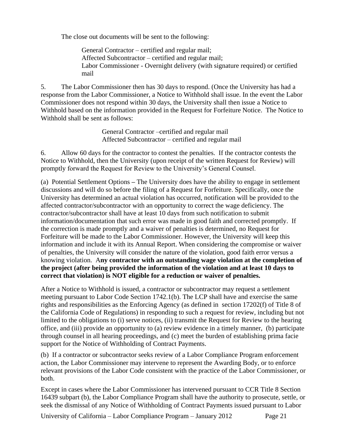The close out documents will be sent to the following:

General Contractor – certified and regular mail; Affected Subcontractor – certified and regular mail; Labor Commissioner - Overnight delivery (with signature required) or certified mail

5. The Labor Commissioner then has 30 days to respond. (Once the University has had a response from the Labor Commissioner, a Notice to Withhold shall issue. In the event the Labor Commissioner does not respond within 30 days, the University shall then issue a Notice to Withhold based on the information provided in the Request for Forfeiture Notice. The Notice to Withhold shall be sent as follows:

> General Contractor –certified and regular mail Affected Subcontractor – certified and regular mail

6. Allow 60 days for the contractor to contest the penalties. If the contractor contests the Notice to Withhold, then the University (upon receipt of the written Request for Review) will promptly forward the Request for Review to the University's General Counsel.

(a) Potential Settlement Options **–** The University does have the ability to engage in settlement discussions and will do so before the filing of a Request for Forfeiture. Specifically, once the University has determined an actual violation has occurred, notification will be provided to the affected contractor/subcontractor with an opportunity to correct the wage deficiency. The contractor/subcontractor shall have at least 10 days from such notification to submit information/documentation that such error was made in good faith and corrected promptly. If the correction is made promptly and a waiver of penalties is determined, no Request for Forfeiture will be made to the Labor Commissioner. However, the University will keep this information and include it with its Annual Report. When considering the compromise or waiver of penalties, the University will consider the nature of the violation, good faith error versus a knowing violation. A**ny contractor with an outstanding wage violation at the completion of the project (after being provided the information of the violation and at least 10 days to correct that violation) is NOT eligible for a reduction or waiver of penalties.** 

After a Notice to Withhold is issued, a contractor or subcontractor may request a settlement meeting pursuant to Labor Code Section 1742.1(b). The LCP shall have and exercise the same rights and responsibilities as the Enforcing Agency (as defined in section 17202(f) of Title 8 of the California Code of Regulations) in responding to such a request for review, including but not limited to the obligations to (i) serve notices, (ii) transmit the Request for Review to the hearing office, and (iii) provide an opportunity to (a) review evidence in a timely manner, (b) participate through counsel in all hearing proceedings, and (c) meet the burden of establishing prima facie support for the Notice of Withholding of Contract Payments.

(b) If a contractor or subcontractor seeks review of a Labor Compliance Program enforcement action, the Labor Commissioner may intervene to represent the Awarding Body, or to enforce relevant provisions of the Labor Code consistent with the practice of the Labor Commissioner, or both.

Except in cases where the Labor Commissioner has intervened pursuant to CCR Title 8 Section 16439 subpart (b), the Labor Compliance Program shall have the authority to prosecute, settle, or seek the dismissal of any Notice of Withholding of Contract Payments issued pursuant to Labor

University of California – Labor Compliance Program – January 2012 Page 21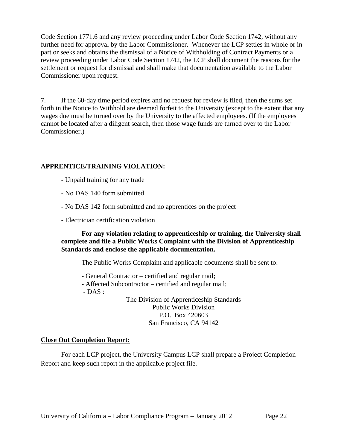Code Section 1771.6 and any review proceeding under Labor Code Section 1742, without any further need for approval by the Labor Commissioner. Whenever the LCP settles in whole or in part or seeks and obtains the dismissal of a Notice of Withholding of Contract Payments or a review proceeding under Labor Code Section 1742, the LCP shall document the reasons for the settlement or request for dismissal and shall make that documentation available to the Labor Commissioner upon request.

7. If the 60-day time period expires and no request for review is filed, then the sums set forth in the Notice to Withhold are deemed forfeit to the University (except to the extent that any wages due must be turned over by the University to the affected employees. (If the employees cannot be located after a diligent search, then those wage funds are turned over to the Labor Commissioner.)

# **APPRENTICE/TRAINING VIOLATION:**

- **-** Unpaid training for any trade
- No DAS 140 form submitted
- No DAS 142 form submitted and no apprentices on the project
- Electrician certification violation

**For any violation relating to apprenticeship or training, the University shall complete and file a Public Works Complaint with the Division of Apprenticeship Standards and enclose the applicable documentation.** 

The Public Works Complaint and applicable documents shall be sent to:

- General Contractor certified and regular mail;
- Affected Subcontractor certified and regular mail;

 $-DAS:$ 

The Division of Apprenticeship Standards Public Works Division P.O. Box 420603 San Francisco, CA 94142

# **Close Out Completion Report:**

For each LCP project, the University Campus LCP shall prepare a Project Completion Report and keep such report in the applicable project file.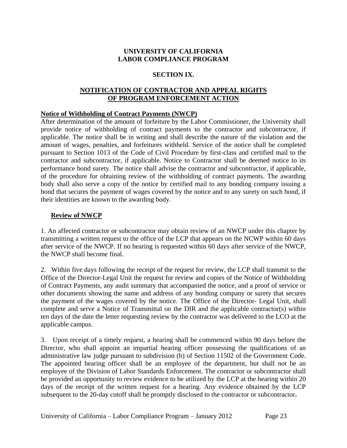# **SECTION IX.**

# **NOTIFICATION OF CONTRACTOR AND APPEAL RIGHTS OF PROGRAM ENFORCEMENT ACTION**

## **Notice of Withholding of Contract Payments (NWCP)**

After determination of the amount of forfeiture by the Labor Commissioner, the University shall provide notice of withholding of contract payments to the contractor and subcontractor, if applicable. The notice shall be in writing and shall describe the nature of the violation and the amount of wages, penalties, and forfeitures withheld. Service of the notice shall be completed pursuant to Section 1013 of the Code of Civil Procedure by first-class and certified mail to the contractor and subcontractor, if applicable. Notice to Contractor shall be deemed notice to its performance bond surety. The notice shall advise the contractor and subcontractor, if applicable, of the procedure for obtaining review of the withholding of contract payments. The awarding body shall also serve a copy of the notice by certified mail to any bonding company issuing a bond that secures the payment of wages covered by the notice and to any surety on such bond, if their identities are known to the awarding body.

## **Review of NWCP**

1. An affected contractor or subcontractor may obtain review of an NWCP under this chapter by transmitting a written request to the office of the LCP that appears on the NCWP within 60 days after service of the NWCP. If no hearing is requested within 60 days after service of the NWCP, the NWCP shall become final.

2. Within five days following the receipt of the request for review, the LCP shall transmit to the Office of the Director-Legal Unit the request for review and copies of the Notice of Withholding of Contract Payments, any audit summary that accompanied the notice, and a proof of service or other documents showing the name and address of any bonding company or surety that secures the payment of the wages covered by the notice. The Office of the Director- Legal Unit, shall complete and serve a Notice of Transmittal on the DIR and the applicable contractor(s) within ten days of the date the letter requesting review by the contractor was delivered to the LCO at the applicable campus.

3. Upon receipt of a timely request, a hearing shall be commenced within 90 days before the Director, who shall appoint an impartial hearing officer possessing the qualifications of an administrative law judge pursuant to subdivision (b) of Section 11502 of the Government Code. The appointed hearing officer shall be an employee of the department, but shall not be an employee of the Division of Labor Standards Enforcement. The contractor or subcontractor shall be provided an opportunity to review evidence to be utilized by the LCP at the hearing within 20 days of the receipt of the written request for a hearing. Any evidence obtained by the LCP subsequent to the 20-day cutoff shall be promptly disclosed to the contractor or subcontractor**.**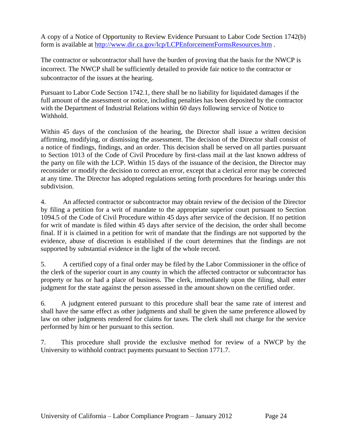A copy of a Notice of Opportunity to Review Evidence Pursuant to Labor Code Section 1742(b) form is available at<http://www.dir.ca.gov/lcp/LCPEnforcementFormsResources.htm> .

The contractor or subcontractor shall have the burden of proving that the basis for the NWCP is incorrect. The NWCP shall be sufficiently detailed to provide fair notice to the contractor or subcontractor of the issues at the hearing.

Pursuant to Labor Code Section 1742.1, there shall be no liability for liquidated damages if the full amount of the assessment or notice, including penalties has been deposited by the contractor with the Department of Industrial Relations within 60 days following service of Notice to Withhold.

Within 45 days of the conclusion of the hearing, the Director shall issue a written decision affirming, modifying, or dismissing the assessment. The decision of the Director shall consist of a notice of findings, findings, and an order. This decision shall be served on all parties pursuant to Section 1013 of the Code of Civil Procedure by first-class mail at the last known address of the party on file with the LCP. Within 15 days of the issuance of the decision, the Director may reconsider or modify the decision to correct an error, except that a clerical error may be corrected at any time. The Director has adopted regulations setting forth procedures for hearings under this subdivision.

4. An affected contractor or subcontractor may obtain review of the decision of the Director by filing a petition for a writ of mandate to the appropriate superior court pursuant to Section 1094.5 of the Code of Civil Procedure within 45 days after service of the decision. If no petition for writ of mandate is filed within 45 days after service of the decision, the order shall become final. If it is claimed in a petition for writ of mandate that the findings are not supported by the evidence, abuse of discretion is established if the court determines that the findings are not supported by substantial evidence in the light of the whole record.

5. A certified copy of a final order may be filed by the Labor Commissioner in the office of the clerk of the superior court in any county in which the affected contractor or subcontractor has property or has or had a place of business. The clerk, immediately upon the filing, shall enter judgment for the state against the person assessed in the amount shown on the certified order.

6. A judgment entered pursuant to this procedure shall bear the same rate of interest and shall have the same effect as other judgments and shall be given the same preference allowed by law on other judgments rendered for claims for taxes. The clerk shall not charge for the service performed by him or her pursuant to this section.

7. This procedure shall provide the exclusive method for review of a NWCP by the University to withhold contract payments pursuant to Section 1771.7.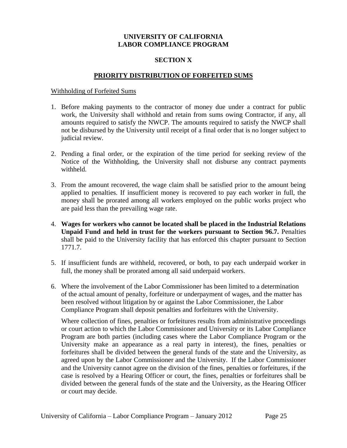## **SECTION X**

#### **PRIORITY DISTRIBUTION OF FORFEITED SUMS**

#### Withholding of Forfeited Sums

- 1. Before making payments to the contractor of money due under a contract for public work, the University shall withhold and retain from sums owing Contractor, if any, all amounts required to satisfy the NWCP. The amounts required to satisfy the NWCP shall not be disbursed by the University until receipt of a final order that is no longer subject to judicial review.
- 2. Pending a final order, or the expiration of the time period for seeking review of the Notice of the Withholding, the University shall not disburse any contract payments withheld.
- 3. From the amount recovered, the wage claim shall be satisfied prior to the amount being applied to penalties. If insufficient money is recovered to pay each worker in full, the money shall be prorated among all workers employed on the public works project who are paid less than the prevailing wage rate.
- 4. **Wages for workers who cannot be located shall be placed in the Industrial Relations Unpaid Fund and held in trust for the workers pursuant to Section 96.7.** Penalties shall be paid to the University facility that has enforced this chapter pursuant to Section 1771.7.
- 5. If insufficient funds are withheld, recovered, or both, to pay each underpaid worker in full, the money shall be prorated among all said underpaid workers.
- 6. Where the involvement of the Labor Commissioner has been limited to a determination of the actual amount of penalty, forfeiture or underpayment of wages, and the matter has been resolved without litigation by or against the Labor Commissioner, the Labor Compliance Program shall deposit penalties and forfeitures with the University.

Where collection of fines, penalties or forfeitures results from administrative proceedings or court action to which the Labor Commissioner and University or its Labor Compliance Program are both parties (including cases where the Labor Compliance Program or the University make an appearance as a real party in interest), the fines, penalties or forfeitures shall be divided between the general funds of the state and the University, as agreed upon by the Labor Commissioner and the University. If the Labor Commissioner and the University cannot agree on the division of the fines, penalties or forfeitures, if the case is resolved by a Hearing Officer or court, the fines, penalties or forfeitures shall be divided between the general funds of the state and the University, as the Hearing Officer or court may decide.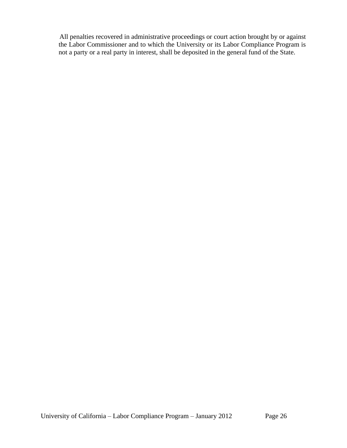All penalties recovered in administrative proceedings or court action brought by or against the Labor Commissioner and to which the University or its Labor Compliance Program is not a party or a real party in interest, shall be deposited in the general fund of the State.